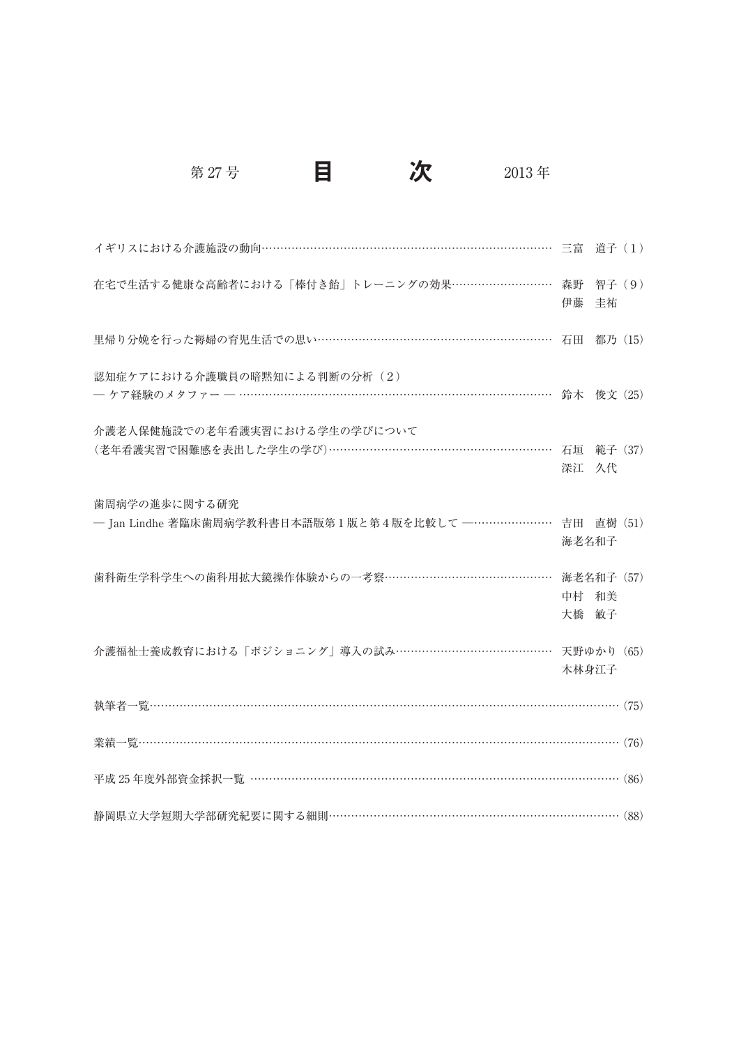第 27 号 日 万 2013年

| イギリスにおける介護施設の動向…………………………………………………………………… 三富 道子(1)                                      |                |            |  |
|-----------------------------------------------------------------------------------------|----------------|------------|--|
| 在宅で生活する健康な高齢者における「棒付き飴」トレーニングの効果………………………… 森野 智子 (9)                                    | 伊藤             | 丰祐         |  |
| 里帰り分娩を行った褥婦の育児生活での思い………………………………………………………… 石田 都乃 (15)                                   |                |            |  |
| 認知症ケアにおける介護職員の暗黙知による判断の分析 (2)                                                           |                |            |  |
| 介護老人保健施設での老年看護実習における学生の学びについて<br>(老年看護実習で困難感を表出した学生の学び)……………………………………………………… 石垣 範子 (37) | 深江 久代          |            |  |
| 歯周病学の進歩に関する研究<br>- Jan Lindhe 著臨床歯周病学教科書日本語版第1版と第4版を比較して --………………… 吉田 直樹 (51)           | 海老名和子          |            |  |
| 歯科衛生学科学生への歯科用拡大鏡操作体験からの一考察………………………………………                                               | 中村 和美<br>大橋 敏子 | 海老名和子 (57) |  |
| 介護福祉士養成教育における「ポジショニング」導入の試み………………………………… 天野ゆかり (65)                                     | 木林身江子          |            |  |
|                                                                                         |                |            |  |
|                                                                                         |                |            |  |
| 平成 25年度外部資金採択一覧 ……………………………………………………………………………………… (86)                                  |                |            |  |
| 静岡県立大学短期大学部研究紀要に関する細則………………………………………………………………… (88)                                     |                |            |  |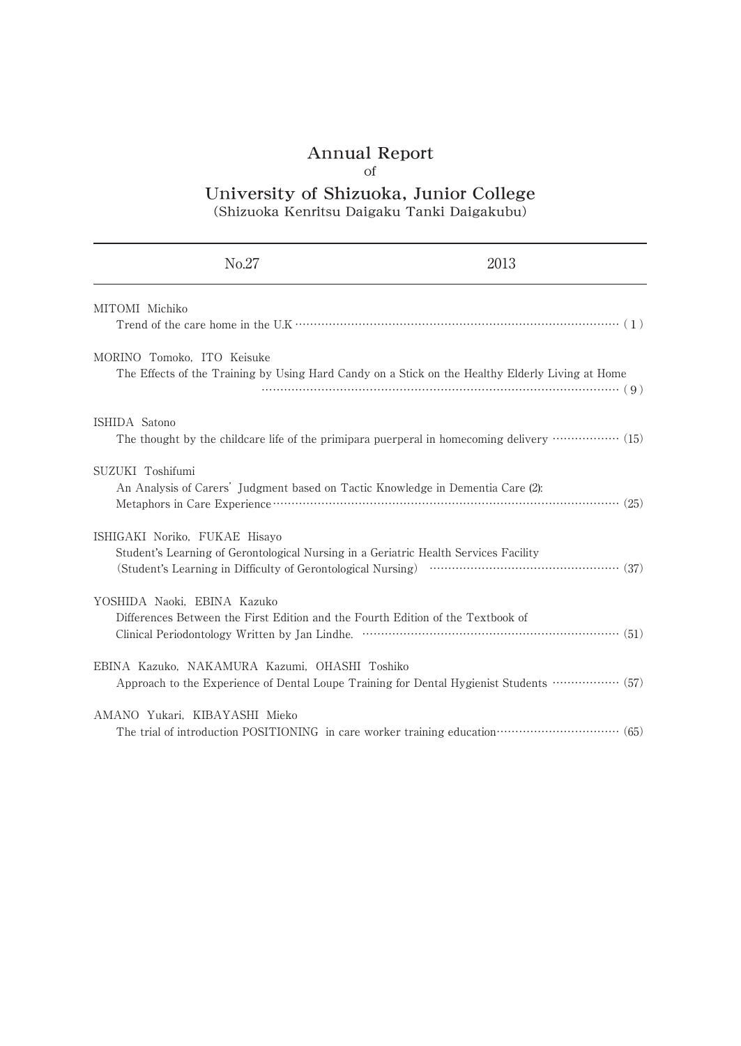# Annual Report

# of

## University of Shizuoka, Junior College (Shizuoka Kenritsu Daigaku Tanki Daigakubu)

| No.27                                                                                                                          | 2013                                                                                                      |
|--------------------------------------------------------------------------------------------------------------------------------|-----------------------------------------------------------------------------------------------------------|
| MITOMI Michiko                                                                                                                 |                                                                                                           |
| MORINO Tomoko, ITO Keisuke<br>The Effects of the Training by Using Hard Candy on a Stick on the Healthy Elderly Living at Home |                                                                                                           |
| ISHIDA Satono                                                                                                                  |                                                                                                           |
| SUZUKI Toshifumi<br>An Analysis of Carers' Judgment based on Tactic Knowledge in Dementia Care (2):                            |                                                                                                           |
| ISHIGAKI Noriko, FUKAE Hisayo<br>Student's Learning of Gerontological Nursing in a Geriatric Health Services Facility          |                                                                                                           |
| YOSHIDA Naoki, EBINA Kazuko<br>Differences Between the First Edition and the Fourth Edition of the Textbook of                 |                                                                                                           |
| EBINA Kazuko, NAKAMURA Kazumi, OHASHI Toshiko                                                                                  | Approach to the Experience of Dental Loupe Training for Dental Hygienist Students ················· (57)  |
| AMANO Yukari, KIBAYASHI Mieko                                                                                                  | The trial of introduction POSITIONING in care worker training education ···························· (65) |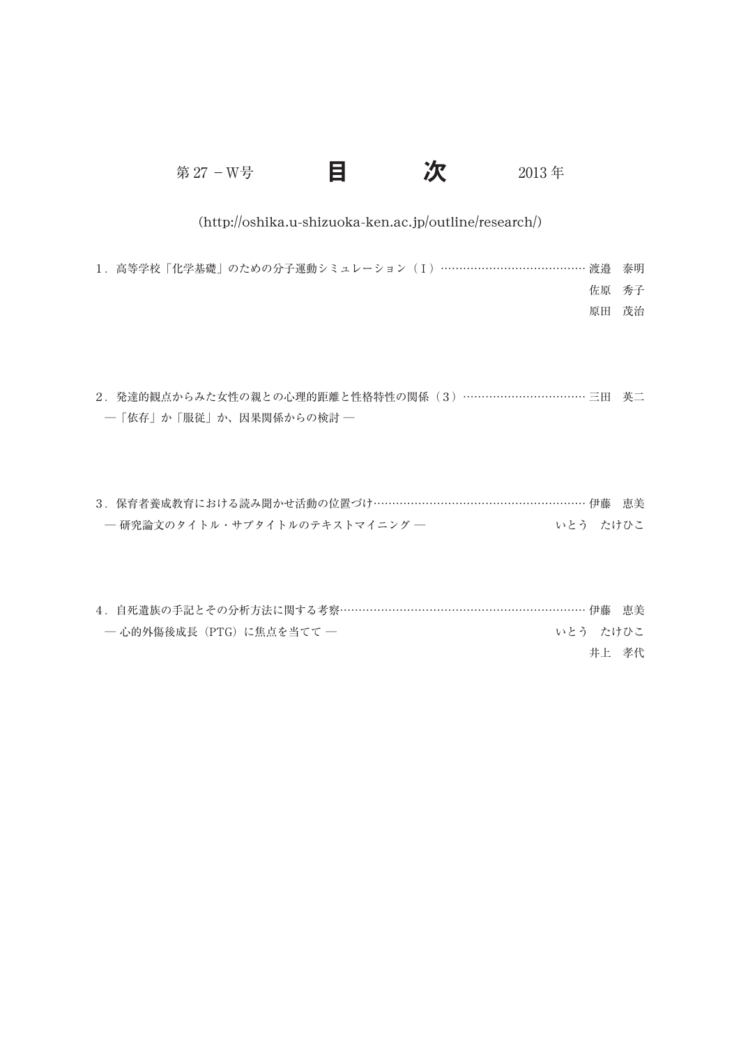第 27 - W号 2013 年

## (http://oshika.u-shizuoka-ken.ac.jp/outline/research/)

1.高等学校「化学基礎」のための分子運動シミュレーション(Ⅰ)………………………………… 渡邉 泰明 佐原 秀子 原田 茂治

2. 発達的観点からみた女性の親との心理的距離と性格特性の関係 (3) …………………………… 三田 英二 ─「依存」か「服従」か、因果関係からの検討 ─

| 3. 保育者養成教育における読み聞かせ活動の位置づけ………………………………………………… 伊藤 恵美 |          |  |
|-----------------------------------------------------|----------|--|
| ― 研究論文のタイトル・サブタイトルのテキストマイニング ―                      | いとう たけひこ |  |

| 4. 自死遺族の手記とその分析方法に関する考察…………………………………………………………… 伊藤 恵美 |  |  |          |       |  |
|------------------------------------------------------|--|--|----------|-------|--|
| — 心的外傷後成長(PTG)に焦点を当てて —                              |  |  | いとう たけひこ |       |  |
|                                                      |  |  |          | 井上 孝代 |  |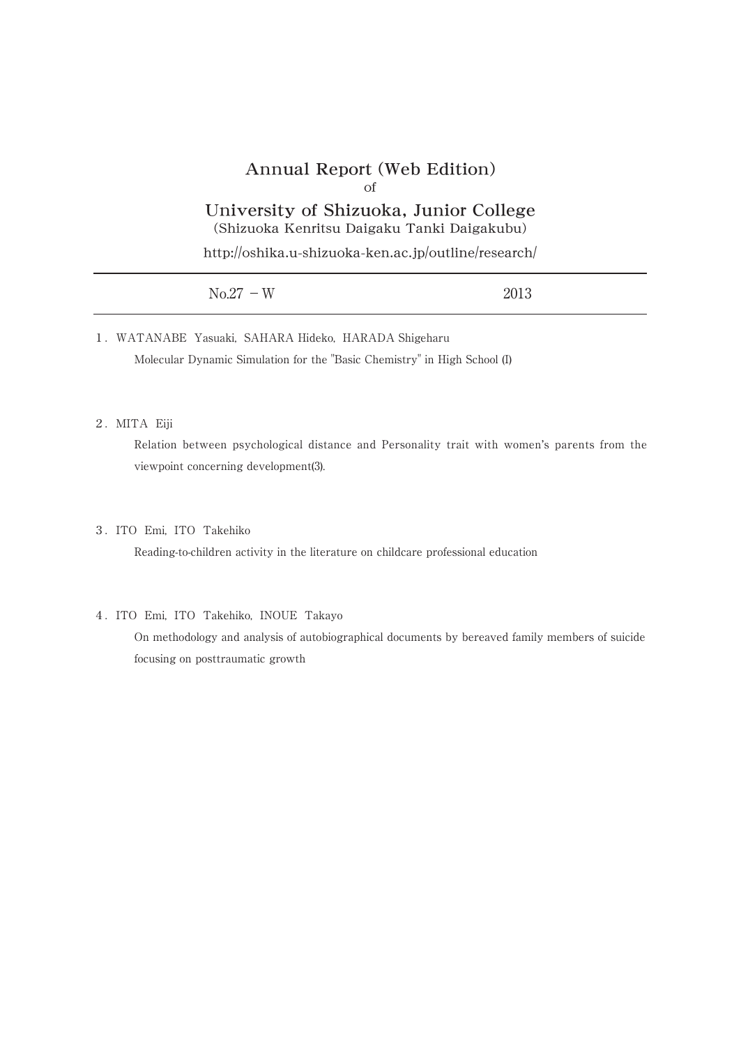## Annual Report (Web Edition)

### of

# University of Shizuoka, Junior College

(Shizuoka Kenritsu Daigaku Tanki Daigakubu)

http://oshika.u-shizuoka-ken.ac.jp/outline/research/

| $No.27 - W$ | 2013 |
|-------------|------|
|             |      |

1.WATANABE Yasuaki, SAHARA Hideko, HARADA Shigeharu Molecular Dynamic Simulation for the "Basic Chemistry" in High School (I)

#### 2.MITA Eiji

Relation between psychological distance and Personality trait with women's parents from the viewpoint concerning development(3).

#### 3.ITO Emi, ITO Takehiko

Reading-to-children activity in the literature on childcare professional education

#### 4.ITO Emi, ITO Takehiko, INOUE Takayo

On methodology and analysis of autobiographical documents by bereaved family members of suicide focusing on posttraumatic growth